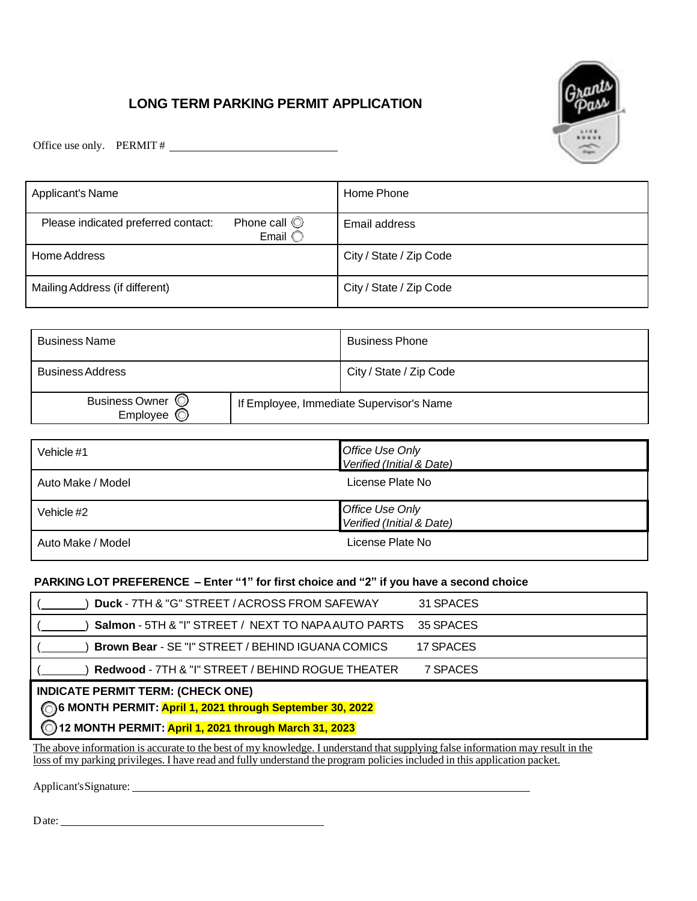## **LONG TERM PARKING PERMIT APPLICATION**



Office use only. PERMIT #

| <b>Applicant's Name</b>                                                               | Home Phone              |
|---------------------------------------------------------------------------------------|-------------------------|
| Phone call $\circledcirc$<br>Please indicated preferred contact:<br>Email $\mathbb C$ | Email address           |
| Home Address                                                                          | City / State / Zip Code |
| Mailing Address (if different)                                                        | City / State / Zip Code |

| <b>Business Name</b>         |                                          | <b>Business Phone</b>   |
|------------------------------|------------------------------------------|-------------------------|
| <b>Business Address</b>      |                                          | City / State / Zip Code |
| Business Owner ©<br>Employee | If Employee, Immediate Supervisor's Name |                         |

| Vehicle #1        | Office Use Only<br>Verified (Initial & Date) |  |
|-------------------|----------------------------------------------|--|
| Auto Make / Model | License Plate No                             |  |
| Vehicle #2        | Office Use Only<br>Verified (Initial & Date) |  |
| Auto Make / Model | License Plate No                             |  |

#### **PARKING LOT PREFERENCE – Enter "1" for first choice and "2" if you have a second choice**

| Duck - 7TH & "G" STREET / ACROSS FROM SAFEWAY                                                                                                                   | 31 SPACES |  |  |  |
|-----------------------------------------------------------------------------------------------------------------------------------------------------------------|-----------|--|--|--|
| Salmon - 5TH & "I" STREET / NEXT TO NAPA AUTO PARTS                                                                                                             | 35 SPACES |  |  |  |
| Brown Bear - SE "I" STREET / BEHIND IGUANA COMICS                                                                                                               | 17 SPACES |  |  |  |
| Redwood - 7TH & "I" STREET / BEHIND ROGUE THEATER                                                                                                               | 7 SPACES  |  |  |  |
| <b>INDICATE PERMIT TERM: (CHECK ONE)</b><br>6 MONTH PERMIT: April 1, 2021 through September 30, 2022<br>6 12 MONTH PERMIT: April 1, 2021 through March 31, 2023 |           |  |  |  |

The above information is accurate to the best of my knowledge. I understand that supplying false information may result in the loss of my parking privileges. I have read and fully understand the program policies included in this application packet.

Applicant's Signature:

Date: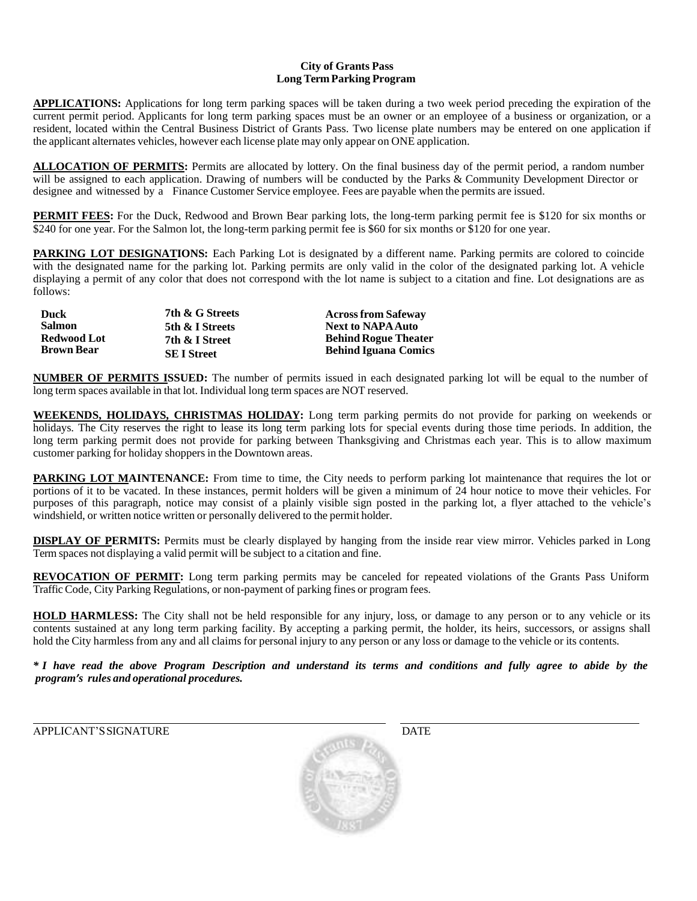#### **City of Grants Pass Long Term Parking Program**

**APPLICATIONS:** Applications for long term parking spaces will be taken during a two week period preceding the expiration of the current permit period. Applicants for long term parking spaces must be an owner or an employee of a business or organization, or a resident, located within the Central Business District of Grants Pass. Two license plate numbers may be entered on one application if the applicant alternates vehicles, however each license plate may only appear on ONE application.

**ALLOCATION OF PERMITS:** Permits are allocated by lottery. On the final business day of the permit period, a random number will be assigned to each application. Drawing of numbers will be conducted by the Parks & Community Development Director or designee and witnessed by a Finance Customer Service employee. Fees are payable when the permits are issued.

**PERMIT FEES:** For the Duck, Redwood and Brown Bear parking lots, the long-term parking permit fee is \$120 for six months or \$240 for one year. For the Salmon lot, the long-term parking permit fee is \$60 for six months or \$120 for one year.

**PARKING LOT DESIGNATIONS:** Each Parking Lot is designated by a different name. Parking permits are colored to coincide with the designated name for the parking lot. Parking permits are only valid in the color of the designated parking lot. A vehicle displaying a permit of any color that does not correspond with the lot name is subject to a citation and fine. Lot designations are as follows:

| <b>Duck</b>                             | 7th & G Streets                     | <b>Across from Safeway</b>                                 |
|-----------------------------------------|-------------------------------------|------------------------------------------------------------|
| <b>Salmon</b>                           | 5th & I Streets                     | <b>Next to NAPA Auto</b>                                   |
| <b>Redwood Lot</b><br><b>Brown Bear</b> | 7th & I Street<br><b>SEI</b> Street | <b>Behind Rogue Theater</b><br><b>Behind Iguana Comics</b> |

**NUMBER OF PERMITS ISSUED:** The number of permits issued in each designated parking lot will be equal to the number of long term spaces available in that lot. Individual long term spaces are NOT reserved.

**WEEKENDS, HOLIDAYS, CHRISTMAS HOLIDAY:** Long term parking permits do not provide for parking on weekends or holidays. The City reserves the right to lease its long term parking lots for special events during those time periods. In addition, the long term parking permit does not provide for parking between Thanksgiving and Christmas each year. This is to allow maximum customer parking for holiday shoppersin the Downtown areas.

**PARKING LOT MAINTENANCE:** From time to time, the City needs to perform parking lot maintenance that requires the lot or portions of it to be vacated. In these instances, permit holders will be given a minimum of 24 hour notice to move their vehicles. For purposes of this paragraph, notice may consist of a plainly visible sign posted in the parking lot, a flyer attached to the vehicle's windshield, or written notice written or personally delivered to the permit holder.

**DISPLAY OF PERMITS:** Permits must be clearly displayed by hanging from the inside rear view mirror. Vehicles parked in Long Term spaces not displaying a valid permit will be subject to a citation and fine.

**REVOCATION OF PERMIT:** Long term parking permits may be canceled for repeated violations of the Grants Pass Uniform Traffic Code, City Parking Regulations, or non-payment of parking fines or program fees.

**HOLD HARMLESS:** The City shall not be held responsible for any injury, loss, or damage to any person or to any vehicle or its contents sustained at any long term parking facility. By accepting a parking permit, the holder, its heirs, successors, or assigns shall hold the City harmless from any and all claims for personal injury to any person or any loss or damage to the vehicle or its contents.

\* I have read the above Program Description and understand its terms and conditions and fully agree to abide by the *program's rules and operational procedures.*

APPLICANT'S SIGNATURE **Example 2018** DATE